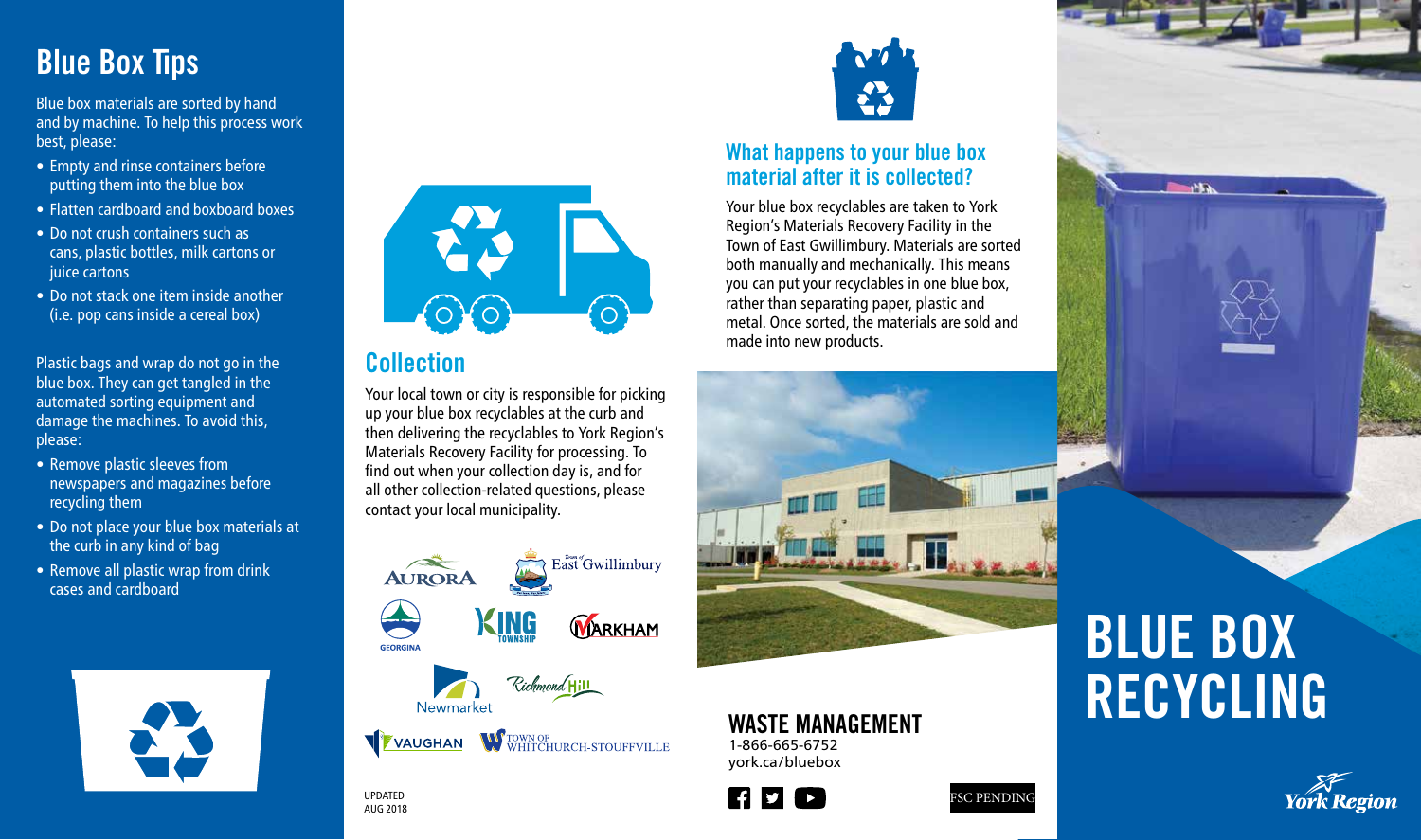## Blue Box Tips

Blue box materials are sorted by hand and by machine. To help this process work best, please:

- Empty and rinse containers before putting them into the blue box
- Flatten cardboard and boxboard boxes
- Do not crush containers such as cans, plastic bottles, milk cartons or iuice cartons
- Do not stack one item inside another (i.e. pop cans inside a cereal box)

Plastic bags and wrap do not go in the blue box. They can get tangled in the automated sorting equipment and damage the machines. To avoid this, please:

- Remove plastic sleeves from newspapers and magazines before recycling them
- Do not place your blue box materials at the curb in any kind of bag
- Remove all plastic wrap from drink cases and cardboard





### Collection

Your local town or city is responsible for picking up your blue box recyclables at the curb and then delivering the recyclables to York Region's Materials Recovery Facility for processing. To find out when your collection day is, and for all other collection-related questions, please contact your local municipality.





#### What happens to your blue box material after it is collected?

Your blue box recyclables are taken to York Region's Materials Recovery Facility in the Town of East Gwillimbury. Materials are sorted both manually and mechanically. This means you can put your recyclables in one blue box, rather than separating paper, plastic and metal. Once sorted, the materials are sold and made into new products.



### WASTE MANAGEMENT

1-866-665-6752 york.ca/bluebox







# BLUE BOX RECYCLING



UPDATED AUG 2018